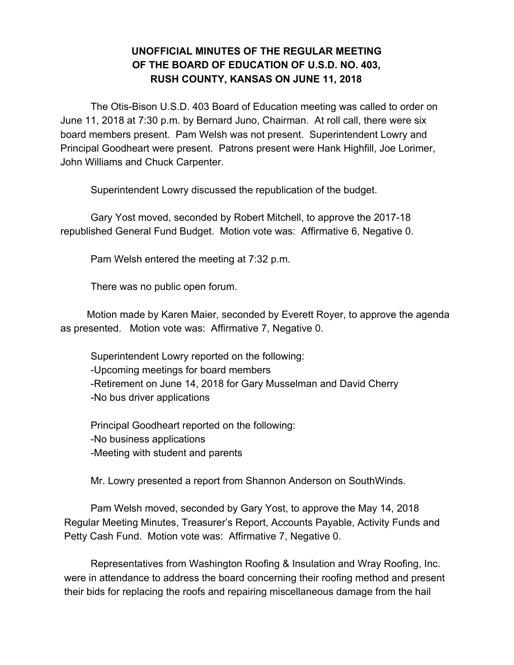### **UNOFFICIAL MINUTES OF THE REGULAR MEETING OF THE BOARD OF EDUCATION OF U.S.D. NO. 403, RUSH COUNTY, KANSAS ON JUNE 11, 2018**

The Otis-Bison U.S.D. 403 Board of Education meeting was called to order on June 11, 2018 at 7:30 p.m. by Bernard Juno, Chairman. At roll call, there were six board members present. Pam Welsh was not present. Superintendent Lowry and Principal Goodheart were present. Patrons present were Hank Highfill, Joe Lorimer, John Williams and Chuck Carpenter.

Superintendent Lowry discussed the republication of the budget.

Gary Yost moved, seconded by Robert Mitchell, to approve the 2017-18 republished General Fund Budget. Motion vote was: Affirmative 6, Negative 0.

Pam Welsh entered the meeting at 7:32 p.m.

There was no public open forum.

Motion made by Karen Maier, seconded by Everett Royer, to approve the agenda as presented. Motion vote was: Affirmative 7, Negative 0.

Superintendent Lowry reported on the following: -Upcoming meetings for board members -Retirement on June 14, 2018 for Gary Musselman and David Cherry -No bus driver applications

Principal Goodheart reported on the following: -No business applications -Meeting with student and parents

Mr. Lowry presented a report from Shannon Anderson on SouthWinds.

Pam Welsh moved, seconded by Gary Yost, to approve the May 14, 2018 Regular Meeting Minutes, Treasurer's Report, Accounts Payable, Activity Funds and Petty Cash Fund. Motion vote was: Affirmative 7, Negative 0.

Representatives from Washington Roofing & Insulation and Wray Roofing, Inc. were in attendance to address the board concerning their roofing method and present their bids for replacing the roofs and repairing miscellaneous damage from the hail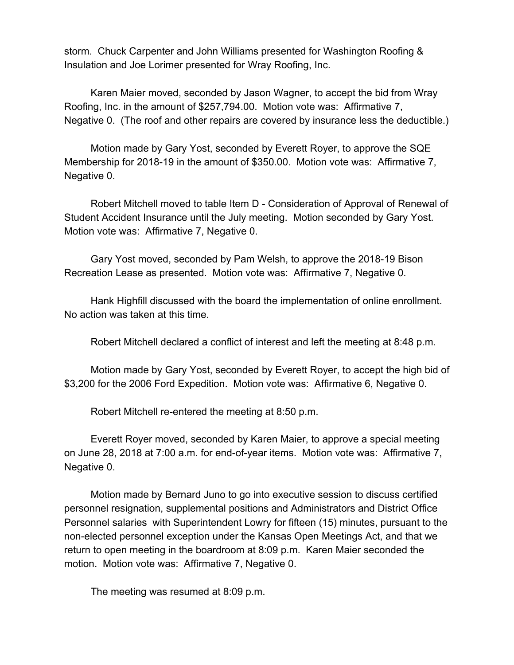storm. Chuck Carpenter and John Williams presented for Washington Roofing & Insulation and Joe Lorimer presented for Wray Roofing, Inc.

Karen Maier moved, seconded by Jason Wagner, to accept the bid from Wray Roofing, Inc. in the amount of \$257,794.00. Motion vote was: Affirmative 7, Negative 0. (The roof and other repairs are covered by insurance less the deductible.)

Motion made by Gary Yost, seconded by Everett Royer, to approve the SQE Membership for 2018-19 in the amount of \$350.00. Motion vote was: Affirmative 7, Negative 0.

Robert Mitchell moved to table Item D - Consideration of Approval of Renewal of Student Accident Insurance until the July meeting. Motion seconded by Gary Yost. Motion vote was: Affirmative 7, Negative 0.

Gary Yost moved, seconded by Pam Welsh, to approve the 2018-19 Bison Recreation Lease as presented. Motion vote was: Affirmative 7, Negative 0.

Hank Highfill discussed with the board the implementation of online enrollment. No action was taken at this time.

Robert Mitchell declared a conflict of interest and left the meeting at 8:48 p.m.

Motion made by Gary Yost, seconded by Everett Royer, to accept the high bid of \$3,200 for the 2006 Ford Expedition. Motion vote was: Affirmative 6, Negative 0.

Robert Mitchell re-entered the meeting at 8:50 p.m.

Everett Royer moved, seconded by Karen Maier, to approve a special meeting on June 28, 2018 at 7:00 a.m. for end-of-year items. Motion vote was: Affirmative 7, Negative 0.

Motion made by Bernard Juno to go into executive session to discuss certified personnel resignation, supplemental positions and Administrators and District Office Personnel salaries with Superintendent Lowry for fifteen (15) minutes, pursuant to the non-elected personnel exception under the Kansas Open Meetings Act, and that we return to open meeting in the boardroom at 8:09 p.m. Karen Maier seconded the motion. Motion vote was: Affirmative 7, Negative 0.

The meeting was resumed at 8:09 p.m.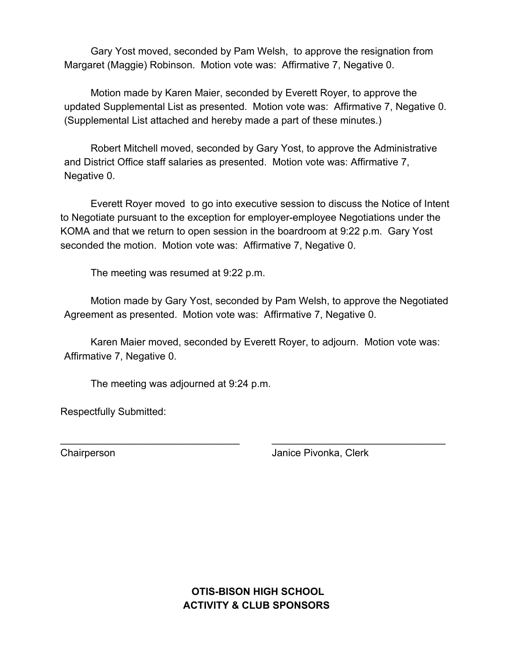Gary Yost moved, seconded by Pam Welsh, to approve the resignation from Margaret (Maggie) Robinson. Motion vote was: Affirmative 7, Negative 0.

Motion made by Karen Maier, seconded by Everett Royer, to approve the updated Supplemental List as presented. Motion vote was: Affirmative 7, Negative 0. (Supplemental List attached and hereby made a part of these minutes.)

Robert Mitchell moved, seconded by Gary Yost, to approve the Administrative and District Office staff salaries as presented. Motion vote was: Affirmative 7, Negative 0.

Everett Royer moved to go into executive session to discuss the Notice of Intent to Negotiate pursuant to the exception for employer-employee Negotiations under the KOMA and that we return to open session in the boardroom at 9:22 p.m. Gary Yost seconded the motion. Motion vote was: Affirmative 7, Negative 0.

The meeting was resumed at 9:22 p.m.

Motion made by Gary Yost, seconded by Pam Welsh, to approve the Negotiated Agreement as presented. Motion vote was: Affirmative 7, Negative 0.

Karen Maier moved, seconded by Everett Royer, to adjourn. Motion vote was: Affirmative 7, Negative 0.

\_\_\_\_\_\_\_\_\_\_\_\_\_\_\_\_\_\_\_\_\_\_\_\_\_\_\_\_\_\_\_\_ \_\_\_\_\_\_\_\_\_\_\_\_\_\_\_\_\_\_\_\_\_\_\_\_\_\_\_\_\_\_\_

The meeting was adjourned at 9:24 p.m.

Respectfully Submitted:

Chairperson Janice Pivonka, Clerk

 **OTIS-BISON HIGH SCHOOL ACTIVITY & CLUB SPONSORS**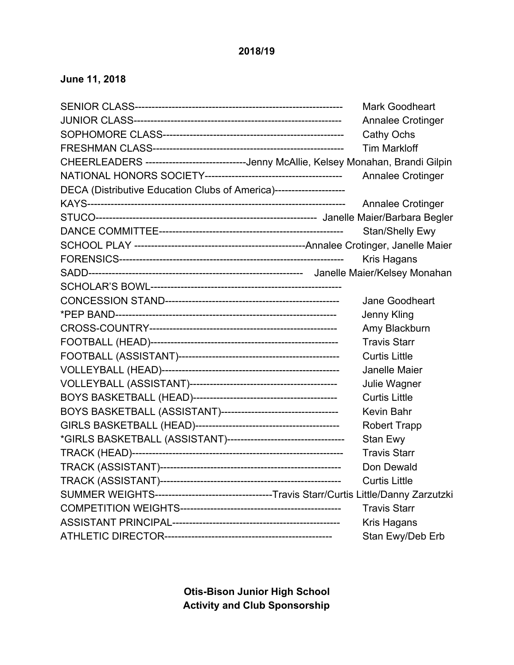### **2018/19**

## **June 11, 2018**

|                                                                                             | <b>Mark Goodheart</b>    |
|---------------------------------------------------------------------------------------------|--------------------------|
|                                                                                             | Annalee Crotinger        |
|                                                                                             | <b>Cathy Ochs</b>        |
|                                                                                             | <b>Tim Markloff</b>      |
| CHEERLEADERS -----------------------------Jenny McAllie, Kelsey Monahan, Brandi Gilpin      |                          |
|                                                                                             | <b>Annalee Crotinger</b> |
| DECA (Distributive Education Clubs of America)---------------------                         |                          |
|                                                                                             | <b>Annalee Crotinger</b> |
|                                                                                             |                          |
|                                                                                             | <b>Stan/Shelly Ewy</b>   |
|                                                                                             |                          |
|                                                                                             | Kris Hagans              |
|                                                                                             |                          |
|                                                                                             |                          |
|                                                                                             | Jane Goodheart           |
|                                                                                             | Jenny Kling              |
|                                                                                             | Amy Blackburn            |
|                                                                                             | <b>Travis Starr</b>      |
|                                                                                             | <b>Curtis Little</b>     |
|                                                                                             | Janelle Maier            |
|                                                                                             | Julie Wagner             |
|                                                                                             | <b>Curtis Little</b>     |
|                                                                                             | <b>Kevin Bahr</b>        |
|                                                                                             | <b>Robert Trapp</b>      |
|                                                                                             | Stan Ewy                 |
|                                                                                             | <b>Travis Starr</b>      |
|                                                                                             | Don Dewald               |
|                                                                                             | <b>Curtis Little</b>     |
| SUMMER WEIGHTS-----------------------------------Travis Starr/Curtis Little/Danny Zarzutzki |                          |
|                                                                                             | <b>Travis Starr</b>      |
|                                                                                             | Kris Hagans              |
|                                                                                             | Stan Ewy/Deb Erb         |

**Otis-Bison Junior High School Activity and Club Sponsorship**